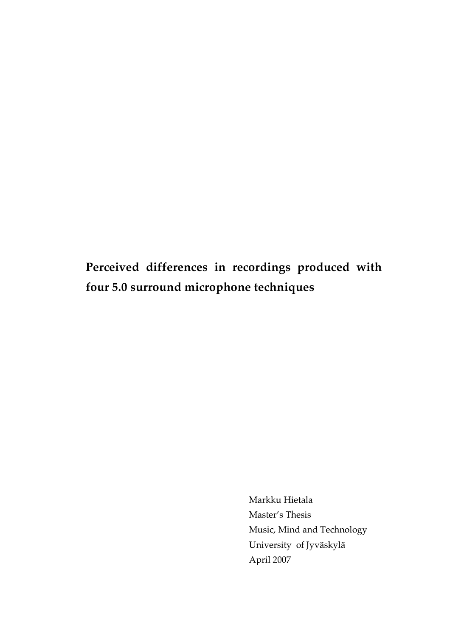**Perceived differences in recordings produced with four 5.0 surround microphone techniques**

> Markku Hietala Master's Thesis Music, Mind and Technology University of Jyväskylä April 2007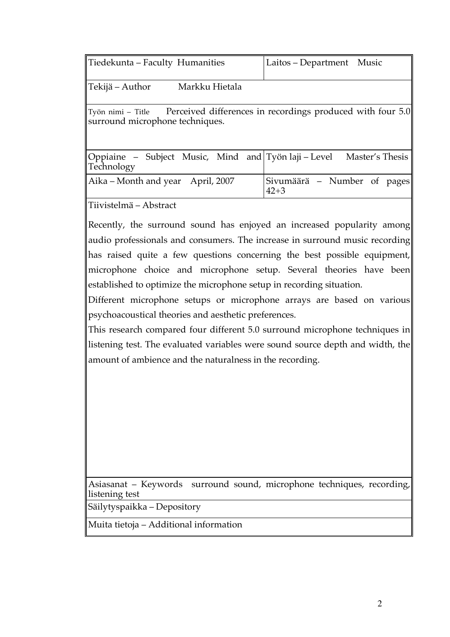| Tiedekunta – Faculty Humanities                                                                                 | Laitos – Department Music               |
|-----------------------------------------------------------------------------------------------------------------|-----------------------------------------|
| ∥Tekijä – Author<br>Markku Hietala                                                                              |                                         |
| Työn nimi – Title Perceived differences in recordings produced with four 5.0<br>surround microphone techniques. |                                         |
| ∥Oppiaine – Subject Music, Mind and Työn laji – Level<br>Technology                                             | Master's Thesis                         |
| Aika – Month and year April, 2007                                                                               | Sivumäärä – Number of pages<br>$42 + 3$ |
| ∥Tiivistelmä – Abstract                                                                                         |                                         |

Recently, the surround sound has enjoyed an increased popularity among audio professionals and consumers. The increase in surround music recording has raised quite a few questions concerning the best possible equipment, microphone choice and microphone setup. Several theories have been established to optimize the microphone setup in recording situation.

Different microphone setups or microphone arrays are based on various psychoacoustical theories and aesthetic preferences.

This research compared four different 5.0 surround microphone techniques in listening test. The evaluated variables were sound source depth and width, the amount of ambience and the naturalness in the recording.

Asiasanat – Keywords surround sound, microphone techniques, recording, listening test

Säilytyspaikka – Depository

Muita tietoja – Additional information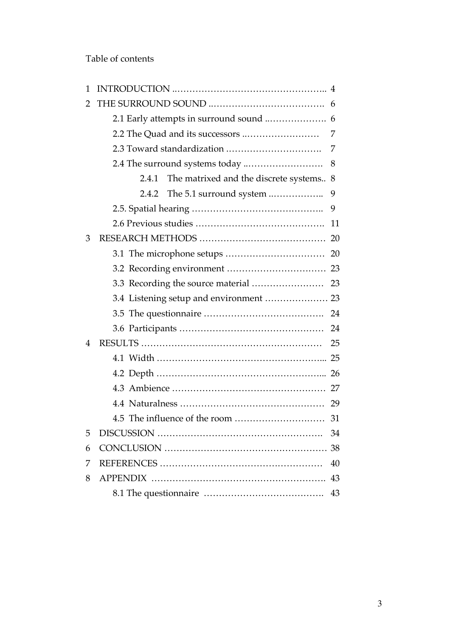Table of contents

| $\mathbf{1}$   |                                                  |    |
|----------------|--------------------------------------------------|----|
| 2              |                                                  |    |
|                |                                                  |    |
|                |                                                  | 7  |
|                |                                                  | 7  |
|                |                                                  | 8  |
|                | The matrixed and the discrete systems 8<br>2.4.1 |    |
|                |                                                  | 9  |
|                |                                                  | 9  |
|                |                                                  | 11 |
| 3              |                                                  |    |
|                |                                                  |    |
|                |                                                  |    |
|                |                                                  |    |
|                |                                                  |    |
|                |                                                  |    |
|                |                                                  | 24 |
| $\overline{4}$ |                                                  | 25 |
|                |                                                  |    |
|                |                                                  |    |
|                |                                                  |    |
|                |                                                  | 29 |
|                | 4.5 The influence of the room                    | 31 |
| 5              |                                                  | 34 |
| 6              |                                                  | 38 |
| 7              |                                                  | 40 |
| 8              | <b>APPENDIX</b>                                  | 43 |
|                |                                                  | 43 |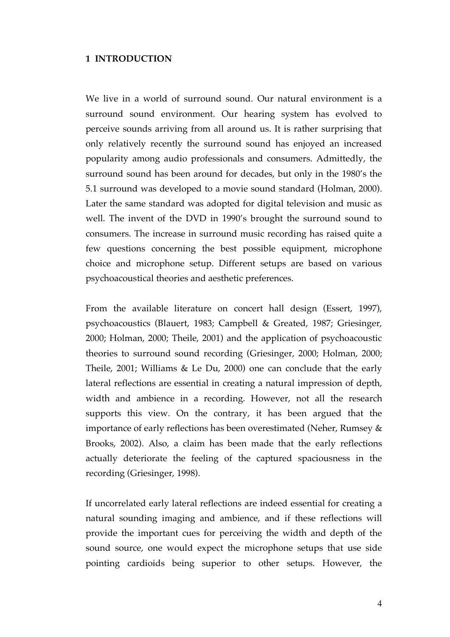#### **1 INTRODUCTION**

We live in a world of surround sound. Our natural environment is a surround sound environment. Our hearing system has evolved to perceive sounds arriving from all around us. It is rather surprising that only relatively recently the surround sound has enjoyed an increased popularity among audio professionals and consumers. Admittedly, the surround sound has been around for decades, but only in the 1980's the 5.1 surround was developed to a movie sound standard (Holman, 2000). Later the same standard was adopted for digital television and music as well. The invent of the DVD in 1990's brought the surround sound to consumers. The increase in surround music recording has raised quite a few questions concerning the best possible equipment, microphone choice and microphone setup. Different setups are based on various psychoacoustical theories and aesthetic preferences.

From the available literature on concert hall design (Essert, 1997), psychoacoustics (Blauert, 1983; Campbell & Greated, 1987; Griesinger, 2000; Holman, 2000; Theile, 2001) and the application of psychoacoustic theories to surround sound recording (Griesinger, 2000; Holman, 2000; Theile, 2001; Williams & Le Du, 2000) one can conclude that the early lateral reflections are essential in creating a natural impression of depth, width and ambience in a recording. However, not all the research supports this view. On the contrary, it has been argued that the importance of early reflections has been overestimated (Neher, Rumsey & Brooks, 2002). Also, a claim has been made that the early reflections actually deteriorate the feeling of the captured spaciousness in the recording (Griesinger, 1998).

If uncorrelated early lateral reflections are indeed essential for creating a natural sounding imaging and ambience, and if these reflections will provide the important cues for perceiving the width and depth of the sound source, one would expect the microphone setups that use side pointing cardioids being superior to other setups. However, the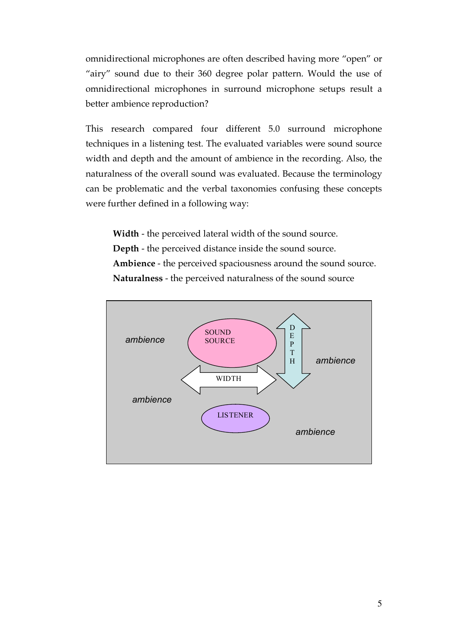omnidirectional microphones are often described having more "open" or "airy" sound due to their 360 degree polar pattern. Would the use of omnidirectional microphones in surround microphone setups result a better ambience reproduction?

This research compared four different 5.0 surround microphone techniques in a listening test. The evaluated variables were sound source width and depth and the amount of ambience in the recording. Also, the naturalness of the overall sound was evaluated. Because the terminology can be problematic and the verbal taxonomies confusing these concepts were further defined in a following way:

**Width** - the perceived lateral width of the sound source. **Depth** - the perceived distance inside the sound source. **Ambience** - the perceived spaciousness around the sound source. **Naturalness** - the perceived naturalness of the sound source

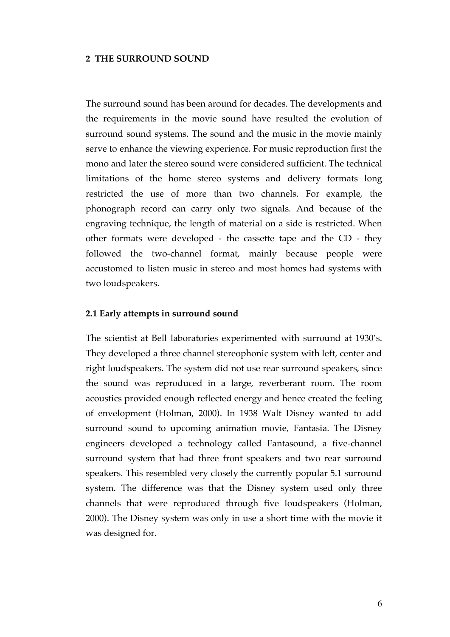#### **2 THE SURROUND SOUND**

The surround sound has been around for decades. The developments and the requirements in the movie sound have resulted the evolution of surround sound systems. The sound and the music in the movie mainly serve to enhance the viewing experience. For music reproduction first the mono and later the stereo sound were considered sufficient. The technical limitations of the home stereo systems and delivery formats long restricted the use of more than two channels. For example, the phonograph record can carry only two signals. And because of the engraving technique, the length of material on a side is restricted. When other formats were developed - the cassette tape and the CD - they followed the two-channel format, mainly because people were accustomed to listen music in stereo and most homes had systems with two loudspeakers.

#### **2.1 Early attempts in surround sound**

The scientist at Bell laboratories experimented with surround at 1930's. They developed a three channel stereophonic system with left, center and right loudspeakers. The system did not use rear surround speakers, since the sound was reproduced in a large, reverberant room. The room acoustics provided enough reflected energy and hence created the feeling of envelopment (Holman, 2000). In 1938 Walt Disney wanted to add surround sound to upcoming animation movie, Fantasia. The Disney engineers developed a technology called Fantasound, a five-channel surround system that had three front speakers and two rear surround speakers. This resembled very closely the currently popular 5.1 surround system. The difference was that the Disney system used only three channels that were reproduced through five loudspeakers (Holman, 2000). The Disney system was only in use a short time with the movie it was designed for.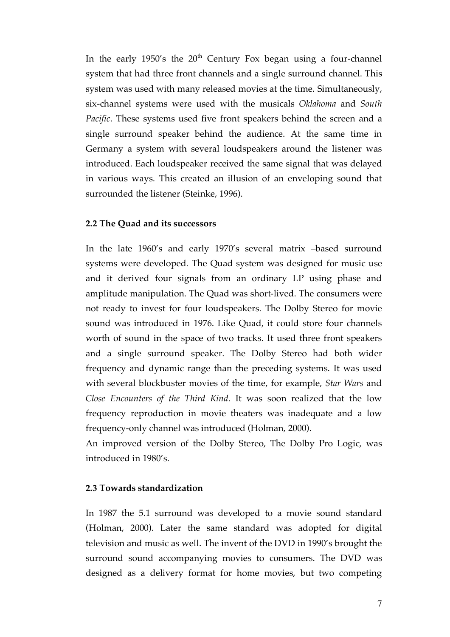In the early 1950's the  $20<sup>th</sup>$  Century Fox began using a four-channel system that had three front channels and a single surround channel. This system was used with many released movies at the time. Simultaneously, six-channel systems were used with the musicals *Oklahoma* and *South Pacific*. These systems used five front speakers behind the screen and a single surround speaker behind the audience. At the same time in Germany a system with several loudspeakers around the listener was introduced. Each loudspeaker received the same signal that was delayed in various ways. This created an illusion of an enveloping sound that surrounded the listener (Steinke, 1996).

## **2.2 The Quad and its successors**

In the late 1960's and early 1970's several matrix –based surround systems were developed. The Quad system was designed for music use and it derived four signals from an ordinary LP using phase and amplitude manipulation. The Quad was short-lived. The consumers were not ready to invest for four loudspeakers. The Dolby Stereo for movie sound was introduced in 1976. Like Quad, it could store four channels worth of sound in the space of two tracks. It used three front speakers and a single surround speaker. The Dolby Stereo had both wider frequency and dynamic range than the preceding systems. It was used with several blockbuster movies of the time, for example, *Star Wars* and *Close Encounters of the Third Kind*. It was soon realized that the low frequency reproduction in movie theaters was inadequate and a low frequency-only channel was introduced (Holman, 2000).

An improved version of the Dolby Stereo, The Dolby Pro Logic, was introduced in 1980's.

## **2.3 Towards standardization**

In 1987 the 5.1 surround was developed to a movie sound standard (Holman, 2000). Later the same standard was adopted for digital television and music as well. The invent of the DVD in 1990's brought the surround sound accompanying movies to consumers. The DVD was designed as a delivery format for home movies, but two competing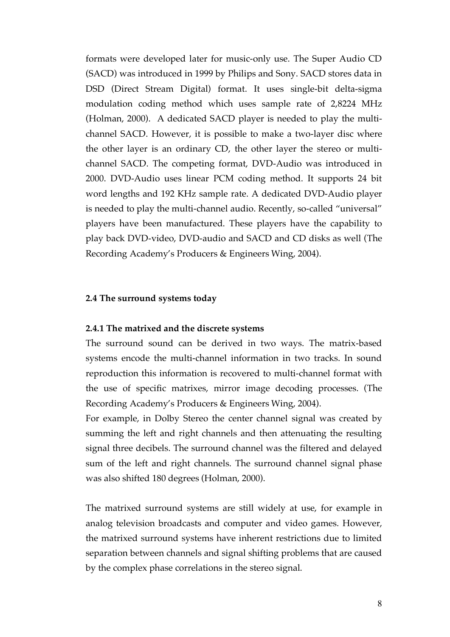formats were developed later for music-only use. The Super Audio CD (SACD) was introduced in 1999 by Philips and Sony. SACD stores data in DSD (Direct Stream Digital) format. It uses single-bit delta-sigma modulation coding method which uses sample rate of 2,8224 MHz (Holman, 2000). A dedicated SACD player is needed to play the multichannel SACD. However, it is possible to make a two-layer disc where the other layer is an ordinary CD, the other layer the stereo or multichannel SACD. The competing format, DVD-Audio was introduced in 2000. DVD-Audio uses linear PCM coding method. It supports 24 bit word lengths and 192 KHz sample rate. A dedicated DVD-Audio player is needed to play the multi-channel audio. Recently, so-called "universal" players have been manufactured. These players have the capability to play back DVD-video, DVD-audio and SACD and CD disks as well (The Recording Academy's Producers & Engineers Wing, 2004).

#### **2.4 The surround systems today**

#### **2.4.1 The matrixed and the discrete systems**

The surround sound can be derived in two ways. The matrix-based systems encode the multi-channel information in two tracks. In sound reproduction this information is recovered to multi-channel format with the use of specific matrixes, mirror image decoding processes. (The Recording Academy's Producers & Engineers Wing, 2004).

For example, in Dolby Stereo the center channel signal was created by summing the left and right channels and then attenuating the resulting signal three decibels. The surround channel was the filtered and delayed sum of the left and right channels. The surround channel signal phase was also shifted 180 degrees (Holman, 2000).

The matrixed surround systems are still widely at use, for example in analog television broadcasts and computer and video games. However, the matrixed surround systems have inherent restrictions due to limited separation between channels and signal shifting problems that are caused by the complex phase correlations in the stereo signal.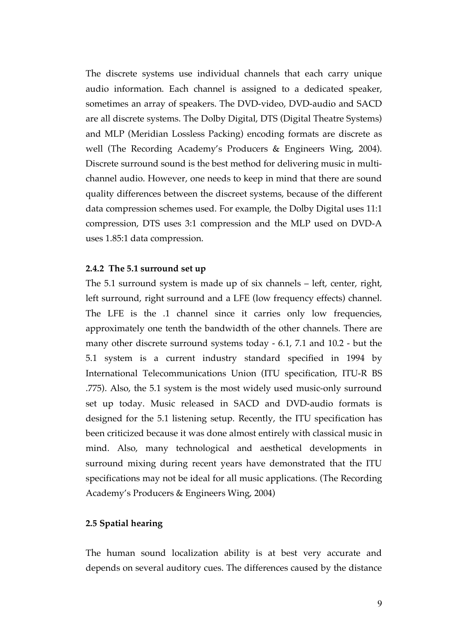The discrete systems use individual channels that each carry unique audio information. Each channel is assigned to a dedicated speaker, sometimes an array of speakers. The DVD-video, DVD-audio and SACD are all discrete systems. The Dolby Digital, DTS (Digital Theatre Systems) and MLP (Meridian Lossless Packing) encoding formats are discrete as well (The Recording Academy's Producers & Engineers Wing, 2004). Discrete surround sound is the best method for delivering music in multichannel audio. However, one needs to keep in mind that there are sound quality differences between the discreet systems, because of the different data compression schemes used. For example, the Dolby Digital uses 11:1 compression, DTS uses 3:1 compression and the MLP used on DVD-A uses 1.85:1 data compression.

#### **2.4.2 The 5.1 surround set up**

The 5.1 surround system is made up of six channels – left, center, right, left surround, right surround and a LFE (low frequency effects) channel. The LFE is the .1 channel since it carries only low frequencies, approximately one tenth the bandwidth of the other channels. There are many other discrete surround systems today - 6.1, 7.1 and 10.2 - but the 5.1 system is a current industry standard specified in 1994 by International Telecommunications Union (ITU specification, ITU-R BS .775). Also, the 5.1 system is the most widely used music-only surround set up today. Music released in SACD and DVD-audio formats is designed for the 5.1 listening setup. Recently, the ITU specification has been criticized because it was done almost entirely with classical music in mind. Also, many technological and aesthetical developments in surround mixing during recent years have demonstrated that the ITU specifications may not be ideal for all music applications. (The Recording Academy's Producers & Engineers Wing, 2004)

#### **2.5 Spatial hearing**

The human sound localization ability is at best very accurate and depends on several auditory cues. The differences caused by the distance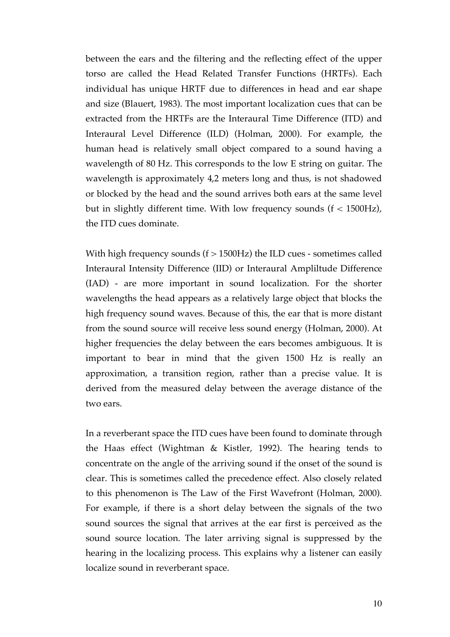between the ears and the filtering and the reflecting effect of the upper torso are called the Head Related Transfer Functions (HRTFs). Each individual has unique HRTF due to differences in head and ear shape and size (Blauert, 1983). The most important localization cues that can be extracted from the HRTFs are the Interaural Time Difference (ITD) and Interaural Level Difference (ILD) (Holman, 2000). For example, the human head is relatively small object compared to a sound having a wavelength of 80 Hz. This corresponds to the low E string on guitar. The wavelength is approximately 4,2 meters long and thus, is not shadowed or blocked by the head and the sound arrives both ears at the same level but in slightly different time. With low frequency sounds (f < 1500Hz), the ITD cues dominate.

With high frequency sounds  $(f > 1500 Hz)$  the ILD cues - sometimes called Interaural Intensity Difference (IID) or Interaural Ampliltude Difference (IAD) - are more important in sound localization. For the shorter wavelengths the head appears as a relatively large object that blocks the high frequency sound waves. Because of this, the ear that is more distant from the sound source will receive less sound energy (Holman, 2000). At higher frequencies the delay between the ears becomes ambiguous. It is important to bear in mind that the given 1500 Hz is really an approximation, a transition region, rather than a precise value. It is derived from the measured delay between the average distance of the two ears.

In a reverberant space the ITD cues have been found to dominate through the Haas effect (Wightman & Kistler, 1992). The hearing tends to concentrate on the angle of the arriving sound if the onset of the sound is clear. This is sometimes called the precedence effect. Also closely related to this phenomenon is The Law of the First Wavefront (Holman, 2000). For example, if there is a short delay between the signals of the two sound sources the signal that arrives at the ear first is perceived as the sound source location. The later arriving signal is suppressed by the hearing in the localizing process. This explains why a listener can easily localize sound in reverberant space.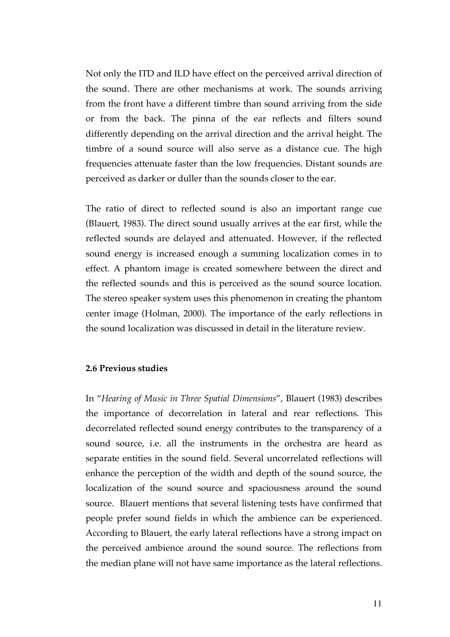Not only the ITD and ILD have effect on the perceived arrival direction of the sound. There are other mechanisms at work. The sounds arriving from the front have a different timbre than sound arriving from the side or from the back. The pinna of the ear reflects and filters sound differently depending on the arrival direction and the arrival height. The timbre of a sound source will also serve as a distance cue. The high frequencies attenuate faster than the low frequencies. Distant sounds are perceived as darker or duller than the sounds closer to the ear.

The ratio of direct to reflected sound is also an important range cue (Blauert, 1983). The direct sound usually arrives at the ear first, while the reflected sounds are delayed and attenuated. However, if the reflected sound energy is increased enough a summing localization comes in to effect. A phantom image is created somewhere between the direct and the reflected sounds and this is perceived as the sound source location. The stereo speaker system uses this phenomenon in creating the phantom center image (Holman, 2000). The importance of the early reflections in the sound localization was discussed in detail in the literature review.

#### **2.6 Previous studies**

In "*Hearing of Music in Three Spatial Dimensions*", Blauert (1983) describes the importance of decorrelation in lateral and rear reflections. This decorrelated reflected sound energy contributes to the transparency of a sound source, i.e. all the instruments in the orchestra are heard as separate entities in the sound field. Several uncorrelated reflections will enhance the perception of the width and depth of the sound source, the localization of the sound source and spaciousness around the sound source. Blauert mentions that several listening tests have confirmed that people prefer sound fields in which the ambience can be experienced. According to Blauert, the early lateral reflections have a strong impact on the perceived ambience around the sound source. The reflections from the median plane will not have same importance as the lateral reflections.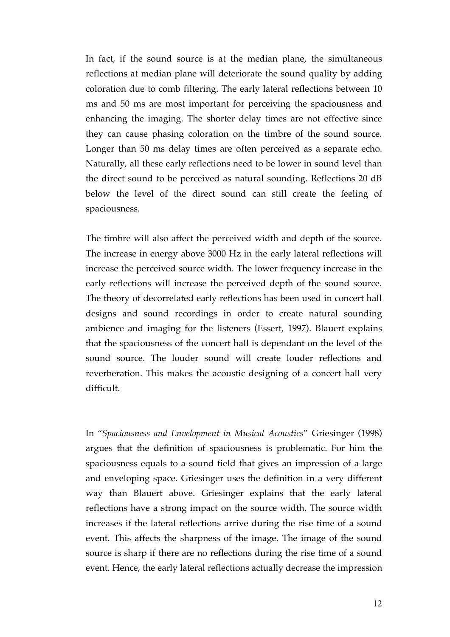In fact, if the sound source is at the median plane, the simultaneous reflections at median plane will deteriorate the sound quality by adding coloration due to comb filtering. The early lateral reflections between 10 ms and 50 ms are most important for perceiving the spaciousness and enhancing the imaging. The shorter delay times are not effective since they can cause phasing coloration on the timbre of the sound source. Longer than 50 ms delay times are often perceived as a separate echo. Naturally, all these early reflections need to be lower in sound level than the direct sound to be perceived as natural sounding. Reflections 20 dB below the level of the direct sound can still create the feeling of spaciousness.

The timbre will also affect the perceived width and depth of the source. The increase in energy above 3000 Hz in the early lateral reflections will increase the perceived source width. The lower frequency increase in the early reflections will increase the perceived depth of the sound source. The theory of decorrelated early reflections has been used in concert hall designs and sound recordings in order to create natural sounding ambience and imaging for the listeners (Essert, 1997). Blauert explains that the spaciousness of the concert hall is dependant on the level of the sound source. The louder sound will create louder reflections and reverberation. This makes the acoustic designing of a concert hall very difficult.

In "*Spaciousness and Envelopment in Musical Acoustics*" Griesinger (1998) argues that the definition of spaciousness is problematic. For him the spaciousness equals to a sound field that gives an impression of a large and enveloping space. Griesinger uses the definition in a very different way than Blauert above. Griesinger explains that the early lateral reflections have a strong impact on the source width. The source width increases if the lateral reflections arrive during the rise time of a sound event. This affects the sharpness of the image. The image of the sound source is sharp if there are no reflections during the rise time of a sound event. Hence, the early lateral reflections actually decrease the impression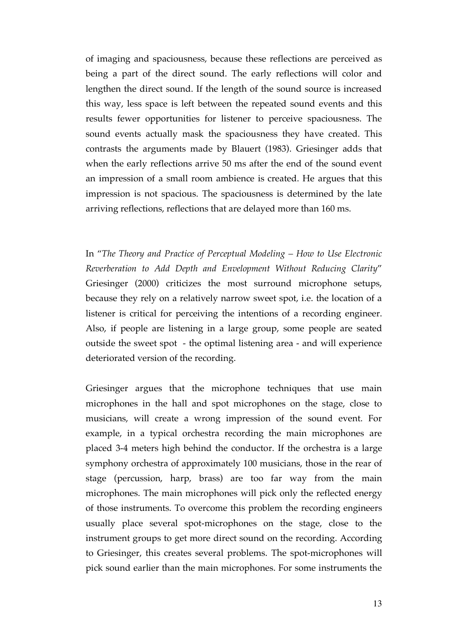of imaging and spaciousness, because these reflections are perceived as being a part of the direct sound. The early reflections will color and lengthen the direct sound. If the length of the sound source is increased this way, less space is left between the repeated sound events and this results fewer opportunities for listener to perceive spaciousness. The sound events actually mask the spaciousness they have created. This contrasts the arguments made by Blauert (1983). Griesinger adds that when the early reflections arrive 50 ms after the end of the sound event an impression of a small room ambience is created. He argues that this impression is not spacious. The spaciousness is determined by the late arriving reflections, reflections that are delayed more than 160 ms.

In "*The Theory and Practice of Perceptual Modeling – How to Use Electronic Reverberation to Add Depth and Envelopment Without Reducing Clarity*" Griesinger (2000) criticizes the most surround microphone setups, because they rely on a relatively narrow sweet spot, i.e. the location of a listener is critical for perceiving the intentions of a recording engineer. Also, if people are listening in a large group, some people are seated outside the sweet spot - the optimal listening area - and will experience deteriorated version of the recording.

Griesinger argues that the microphone techniques that use main microphones in the hall and spot microphones on the stage, close to musicians, will create a wrong impression of the sound event. For example, in a typical orchestra recording the main microphones are placed 3-4 meters high behind the conductor. If the orchestra is a large symphony orchestra of approximately 100 musicians, those in the rear of stage (percussion, harp, brass) are too far way from the main microphones. The main microphones will pick only the reflected energy of those instruments. To overcome this problem the recording engineers usually place several spot-microphones on the stage, close to the instrument groups to get more direct sound on the recording. According to Griesinger, this creates several problems. The spot-microphones will pick sound earlier than the main microphones. For some instruments the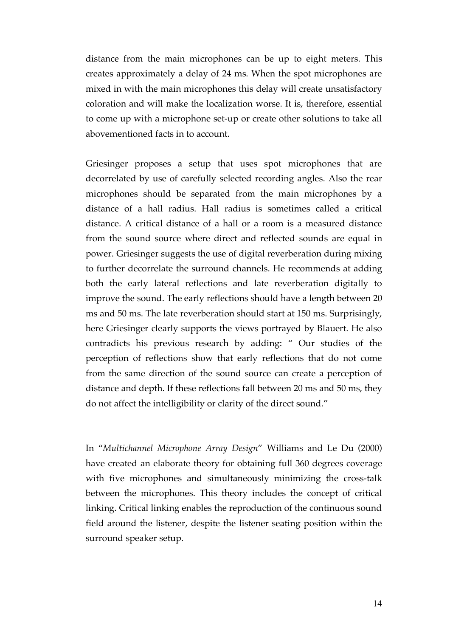distance from the main microphones can be up to eight meters. This creates approximately a delay of 24 ms. When the spot microphones are mixed in with the main microphones this delay will create unsatisfactory coloration and will make the localization worse. It is, therefore, essential to come up with a microphone set-up or create other solutions to take all abovementioned facts in to account.

Griesinger proposes a setup that uses spot microphones that are decorrelated by use of carefully selected recording angles. Also the rear microphones should be separated from the main microphones by a distance of a hall radius. Hall radius is sometimes called a critical distance. A critical distance of a hall or a room is a measured distance from the sound source where direct and reflected sounds are equal in power. Griesinger suggests the use of digital reverberation during mixing to further decorrelate the surround channels. He recommends at adding both the early lateral reflections and late reverberation digitally to improve the sound. The early reflections should have a length between 20 ms and 50 ms. The late reverberation should start at 150 ms. Surprisingly, here Griesinger clearly supports the views portrayed by Blauert. He also contradicts his previous research by adding: " Our studies of the perception of reflections show that early reflections that do not come from the same direction of the sound source can create a perception of distance and depth. If these reflections fall between 20 ms and 50 ms, they do not affect the intelligibility or clarity of the direct sound."

In "*Multichannel Microphone Array Design*" Williams and Le Du (2000) have created an elaborate theory for obtaining full 360 degrees coverage with five microphones and simultaneously minimizing the cross-talk between the microphones. This theory includes the concept of critical linking. Critical linking enables the reproduction of the continuous sound field around the listener, despite the listener seating position within the surround speaker setup.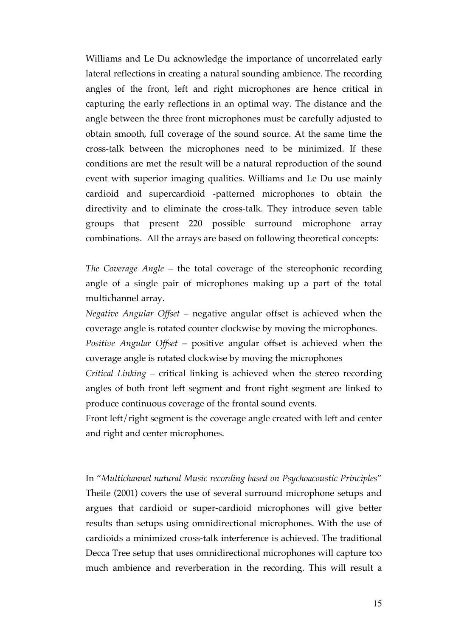Williams and Le Du acknowledge the importance of uncorrelated early lateral reflections in creating a natural sounding ambience. The recording angles of the front, left and right microphones are hence critical in capturing the early reflections in an optimal way. The distance and the angle between the three front microphones must be carefully adjusted to obtain smooth, full coverage of the sound source. At the same time the cross-talk between the microphones need to be minimized. If these conditions are met the result will be a natural reproduction of the sound event with superior imaging qualities. Williams and Le Du use mainly cardioid and supercardioid -patterned microphones to obtain the directivity and to eliminate the cross-talk. They introduce seven table groups that present 220 possible surround microphone array combinations. All the arrays are based on following theoretical concepts:

*The Coverage Angle* – the total coverage of the stereophonic recording angle of a single pair of microphones making up a part of the total multichannel array.

*Negative Angular Offset* – negative angular offset is achieved when the coverage angle is rotated counter clockwise by moving the microphones.

*Positive Angular Offset* – positive angular offset is achieved when the coverage angle is rotated clockwise by moving the microphones

*Critical Linking* – critical linking is achieved when the stereo recording angles of both front left segment and front right segment are linked to produce continuous coverage of the frontal sound events.

Front left/right segment is the coverage angle created with left and center and right and center microphones.

In "*Multichannel natural Music recording based on Psychoacoustic Principles*" Theile (2001) covers the use of several surround microphone setups and argues that cardioid or super-cardioid microphones will give better results than setups using omnidirectional microphones. With the use of cardioids a minimized cross-talk interference is achieved. The traditional Decca Tree setup that uses omnidirectional microphones will capture too much ambience and reverberation in the recording. This will result a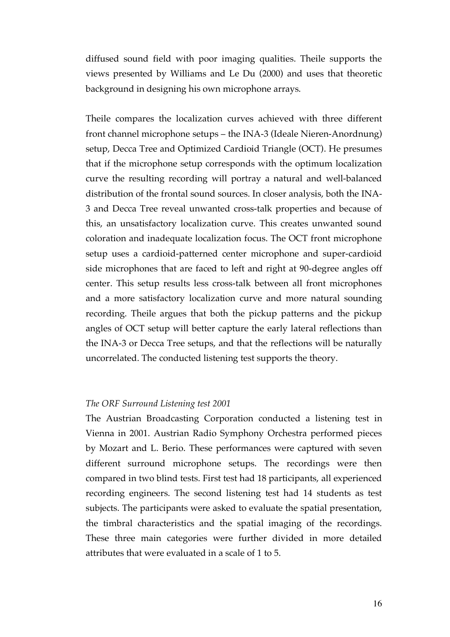diffused sound field with poor imaging qualities. Theile supports the views presented by Williams and Le Du (2000) and uses that theoretic background in designing his own microphone arrays.

Theile compares the localization curves achieved with three different front channel microphone setups – the INA-3 (Ideale Nieren-Anordnung) setup, Decca Tree and Optimized Cardioid Triangle (OCT). He presumes that if the microphone setup corresponds with the optimum localization curve the resulting recording will portray a natural and well-balanced distribution of the frontal sound sources. In closer analysis, both the INA-3 and Decca Tree reveal unwanted cross-talk properties and because of this, an unsatisfactory localization curve. This creates unwanted sound coloration and inadequate localization focus. The OCT front microphone setup uses a cardioid-patterned center microphone and super-cardioid side microphones that are faced to left and right at 90-degree angles off center. This setup results less cross-talk between all front microphones and a more satisfactory localization curve and more natural sounding recording. Theile argues that both the pickup patterns and the pickup angles of OCT setup will better capture the early lateral reflections than the INA-3 or Decca Tree setups, and that the reflections will be naturally uncorrelated. The conducted listening test supports the theory.

#### *The ORF Surround Listening test 2001*

The Austrian Broadcasting Corporation conducted a listening test in Vienna in 2001. Austrian Radio Symphony Orchestra performed pieces by Mozart and L. Berio. These performances were captured with seven different surround microphone setups. The recordings were then compared in two blind tests. First test had 18 participants, all experienced recording engineers. The second listening test had 14 students as test subjects. The participants were asked to evaluate the spatial presentation, the timbral characteristics and the spatial imaging of the recordings. These three main categories were further divided in more detailed attributes that were evaluated in a scale of 1 to 5.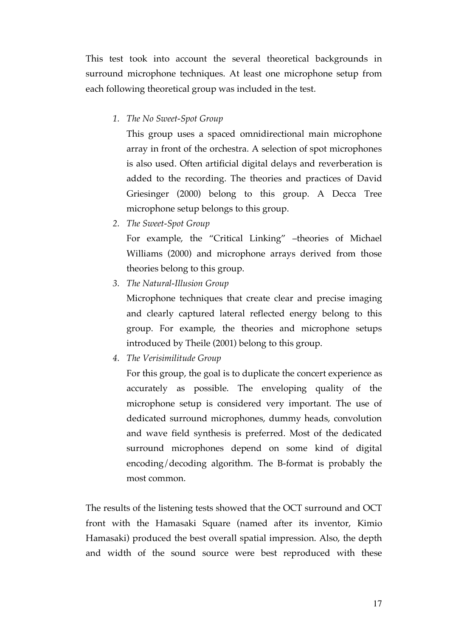This test took into account the several theoretical backgrounds in surround microphone techniques. At least one microphone setup from each following theoretical group was included in the test.

*1. The No Sweet-Spot Group*

This group uses a spaced omnidirectional main microphone array in front of the orchestra. A selection of spot microphones is also used. Often artificial digital delays and reverberation is added to the recording. The theories and practices of David Griesinger (2000) belong to this group. A Decca Tree microphone setup belongs to this group.

*2. The Sweet-Spot Group*

For example, the "Critical Linking" –theories of Michael Williams (2000) and microphone arrays derived from those theories belong to this group.

*3. The Natural-Illusion Group*

Microphone techniques that create clear and precise imaging and clearly captured lateral reflected energy belong to this group. For example, the theories and microphone setups introduced by Theile (2001) belong to this group.

*4. The Verisimilitude Group*

For this group, the goal is to duplicate the concert experience as accurately as possible. The enveloping quality of the microphone setup is considered very important. The use of dedicated surround microphones, dummy heads, convolution and wave field synthesis is preferred. Most of the dedicated surround microphones depend on some kind of digital encoding/decoding algorithm. The B-format is probably the most common.

The results of the listening tests showed that the OCT surround and OCT front with the Hamasaki Square (named after its inventor, Kimio Hamasaki) produced the best overall spatial impression. Also, the depth and width of the sound source were best reproduced with these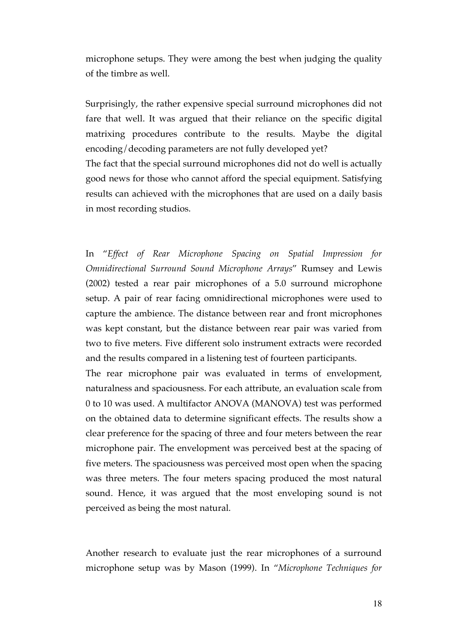microphone setups. They were among the best when judging the quality of the timbre as well.

Surprisingly, the rather expensive special surround microphones did not fare that well. It was argued that their reliance on the specific digital matrixing procedures contribute to the results. Maybe the digital encoding/decoding parameters are not fully developed yet?

The fact that the special surround microphones did not do well is actually good news for those who cannot afford the special equipment. Satisfying results can achieved with the microphones that are used on a daily basis in most recording studios.

In "*Effect of Rear Microphone Spacing on Spatial Impression for Omnidirectional Surround Sound Microphone Arrays*" Rumsey and Lewis (2002) tested a rear pair microphones of a 5.0 surround microphone setup. A pair of rear facing omnidirectional microphones were used to capture the ambience. The distance between rear and front microphones was kept constant, but the distance between rear pair was varied from two to five meters. Five different solo instrument extracts were recorded and the results compared in a listening test of fourteen participants.

The rear microphone pair was evaluated in terms of envelopment, naturalness and spaciousness. For each attribute, an evaluation scale from 0 to 10 was used. A multifactor ANOVA (MANOVA) test was performed on the obtained data to determine significant effects. The results show a clear preference for the spacing of three and four meters between the rear microphone pair. The envelopment was perceived best at the spacing of five meters. The spaciousness was perceived most open when the spacing was three meters. The four meters spacing produced the most natural sound. Hence, it was argued that the most enveloping sound is not perceived as being the most natural.

Another research to evaluate just the rear microphones of a surround microphone setup was by Mason (1999). In "*Microphone Techniques for*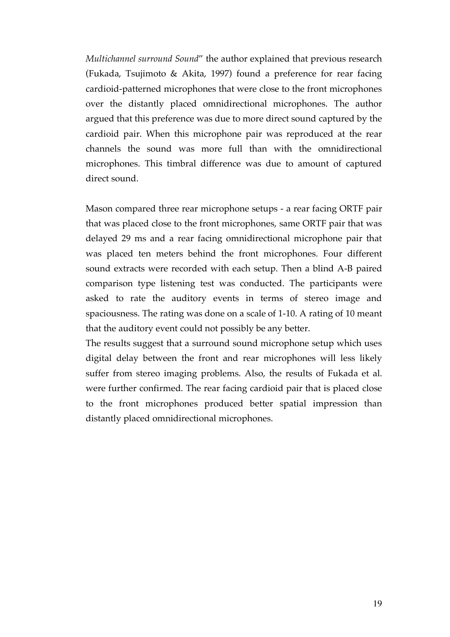*Multichannel surround Sound*" the author explained that previous research (Fukada, Tsujimoto & Akita, 1997) found a preference for rear facing cardioid-patterned microphones that were close to the front microphones over the distantly placed omnidirectional microphones. The author argued that this preference was due to more direct sound captured by the cardioid pair. When this microphone pair was reproduced at the rear channels the sound was more full than with the omnidirectional microphones. This timbral difference was due to amount of captured direct sound.

Mason compared three rear microphone setups - a rear facing ORTF pair that was placed close to the front microphones, same ORTF pair that was delayed 29 ms and a rear facing omnidirectional microphone pair that was placed ten meters behind the front microphones. Four different sound extracts were recorded with each setup. Then a blind A-B paired comparison type listening test was conducted. The participants were asked to rate the auditory events in terms of stereo image and spaciousness. The rating was done on a scale of 1-10. A rating of 10 meant that the auditory event could not possibly be any better.

The results suggest that a surround sound microphone setup which uses digital delay between the front and rear microphones will less likely suffer from stereo imaging problems. Also, the results of Fukada et al. were further confirmed. The rear facing cardioid pair that is placed close to the front microphones produced better spatial impression than distantly placed omnidirectional microphones.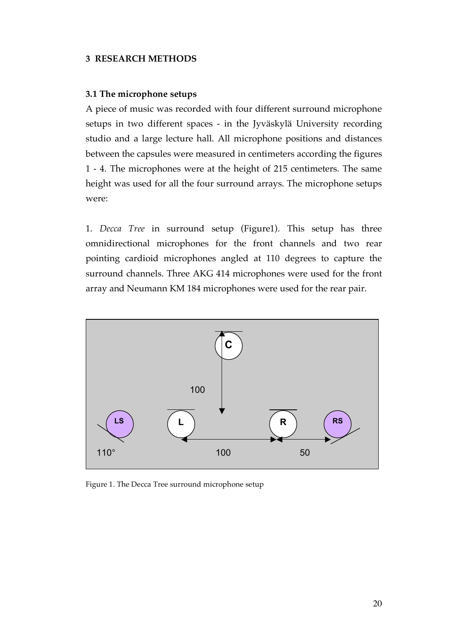#### **3 RESEARCH METHODS**

#### **3.1 The microphone setups**

A piece of music was recorded with four different surround microphone setups in two different spaces - in the Jyväskylä University recording studio and a large lecture hall. All microphone positions and distances between the capsules were measured in centimeters according the figures 1 - 4. The microphones were at the height of 215 centimeters. The same height was used for all the four surround arrays. The microphone setups were:

1. *Decca Tree* in surround setup (Figure1). This setup has three omnidirectional microphones for the front channels and two rear pointing cardioid microphones angled at 110 degrees to capture the surround channels. Three AKG 414 microphones were used for the front array and Neumann KM 184 microphones were used for the rear pair.



Figure 1. The Decca Tree surround microphone setup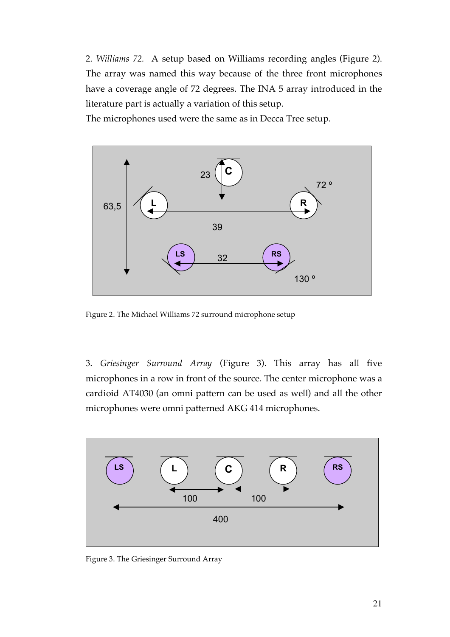2. *Williams 72.* A setup based on Williams recording angles (Figure 2). The array was named this way because of the three front microphones have a coverage angle of 72 degrees. The INA 5 array introduced in the literature part is actually a variation of this setup.

The microphones used were the same as in Decca Tree setup.



Figure 2. The Michael Williams 72 surround microphone setup

3. *Griesinger Surround Array* (Figure 3). This array has all five microphones in a row in front of the source. The center microphone was a cardioid AT4030 (an omni pattern can be used as well) and all the other microphones were omni patterned AKG 414 microphones.

![](_page_20_Figure_5.jpeg)

Figure 3. The Griesinger Surround Array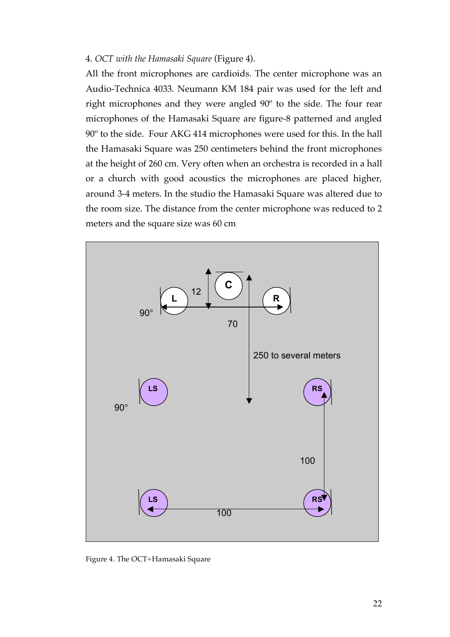#### 4. *OCT with the Hamasaki Square* (Figure 4).

All the front microphones are cardioids. The center microphone was an Audio-Technica 4033. Neumann KM 184 pair was used for the left and right microphones and they were angled 90º to the side. The four rear microphones of the Hamasaki Square are figure-8 patterned and angled 90º to the side. Four AKG 414 microphones were used for this. In the hall the Hamasaki Square was 250 centimeters behind the front microphones at the height of 260 cm. Very often when an orchestra is recorded in a hall or a church with good acoustics the microphones are placed higher, around 3-4 meters. In the studio the Hamasaki Square was altered due to the room size. The distance from the center microphone was reduced to 2 meters and the square size was 60 cm

![](_page_21_Figure_2.jpeg)

Figure 4. The OCT+Hamasaki Square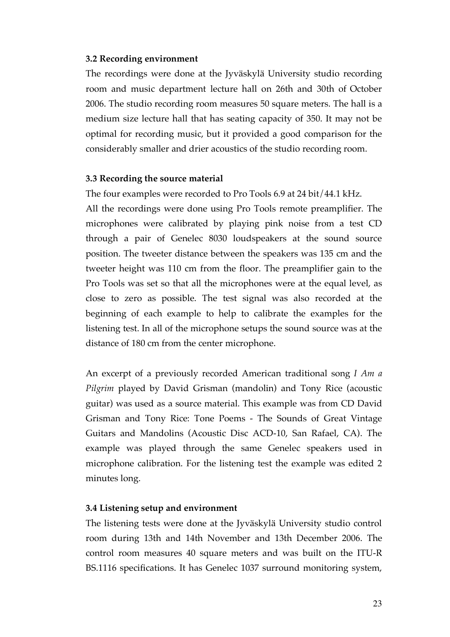## **3.2 Recording environment**

The recordings were done at the Jyväskylä University studio recording room and music department lecture hall on 26th and 30th of October 2006. The studio recording room measures 50 square meters. The hall is a medium size lecture hall that has seating capacity of 350. It may not be optimal for recording music, but it provided a good comparison for the considerably smaller and drier acoustics of the studio recording room.

## **3.3 Recording the source material**

The four examples were recorded to Pro Tools 6.9 at 24 bit/44.1 kHz. All the recordings were done using Pro Tools remote preamplifier. The microphones were calibrated by playing pink noise from a test CD through a pair of Genelec 8030 loudspeakers at the sound source position. The tweeter distance between the speakers was 135 cm and the tweeter height was 110 cm from the floor. The preamplifier gain to the Pro Tools was set so that all the microphones were at the equal level, as close to zero as possible. The test signal was also recorded at the beginning of each example to help to calibrate the examples for the listening test. In all of the microphone setups the sound source was at the distance of 180 cm from the center microphone.

An excerpt of a previously recorded American traditional song *I Am a Pilgrim* played by David Grisman (mandolin) and Tony Rice (acoustic guitar) was used as a source material. This example was from CD David Grisman and Tony Rice: Tone Poems - The Sounds of Great Vintage Guitars and Mandolins (Acoustic Disc ACD-10, San Rafael, CA). The example was played through the same Genelec speakers used in microphone calibration. For the listening test the example was edited 2 minutes long.

## **3.4 Listening setup and environment**

The listening tests were done at the Jyväskylä University studio control room during 13th and 14th November and 13th December 2006. The control room measures 40 square meters and was built on the ITU-R BS.1116 specifications. It has Genelec 1037 surround monitoring system,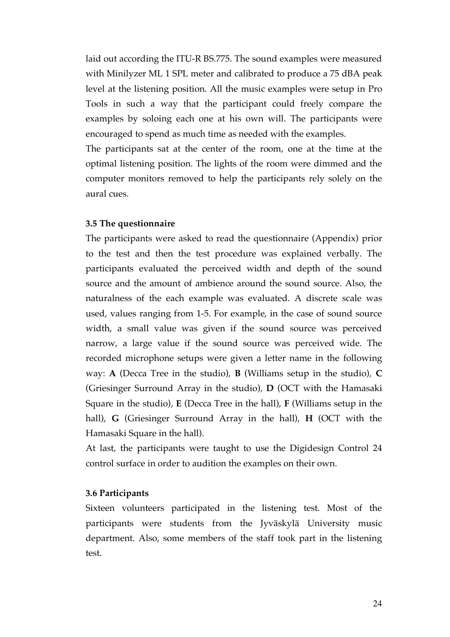laid out according the ITU-R BS.775. The sound examples were measured with Minilyzer ML 1 SPL meter and calibrated to produce a 75 dBA peak level at the listening position. All the music examples were setup in Pro Tools in such a way that the participant could freely compare the examples by soloing each one at his own will. The participants were encouraged to spend as much time as needed with the examples.

The participants sat at the center of the room, one at the time at the optimal listening position. The lights of the room were dimmed and the computer monitors removed to help the participants rely solely on the aural cues.

#### **3.5 The questionnaire**

The participants were asked to read the questionnaire (Appendix) prior to the test and then the test procedure was explained verbally. The participants evaluated the perceived width and depth of the sound source and the amount of ambience around the sound source. Also, the naturalness of the each example was evaluated. A discrete scale was used, values ranging from 1-5. For example, in the case of sound source width, a small value was given if the sound source was perceived narrow, a large value if the sound source was perceived wide. The recorded microphone setups were given a letter name in the following way: **A** (Decca Tree in the studio), **B** (Williams setup in the studio), **C** (Griesinger Surround Array in the studio), **D** (OCT with the Hamasaki Square in the studio), **E** (Decca Tree in the hall), **F** (Williams setup in the hall), **G** (Griesinger Surround Array in the hall), **H** (OCT with the Hamasaki Square in the hall).

At last, the participants were taught to use the Digidesign Control 24 control surface in order to audition the examples on their own.

## **3.6 Participants**

Sixteen volunteers participated in the listening test. Most of the participants were students from the Jyväskylä University music department. Also, some members of the staff took part in the listening test.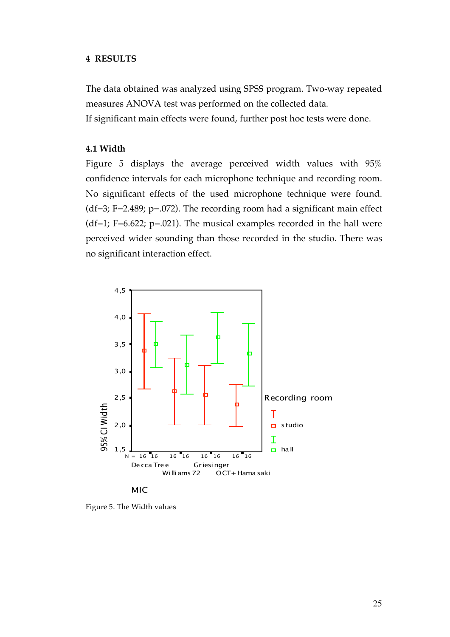#### **4 RESULTS**

The data obtained was analyzed using SPSS program. Two-way repeated measures ANOVA test was performed on the collected data.

If significant main effects were found, further post hoc tests were done.

## **4.1 Width**

Figure 5 displays the average perceived width values with 95% confidence intervals for each microphone technique and recording room. No significant effects of the used microphone technique were found. (df=3; F=2.489; p=.072). The recording room had a significant main effect (df=1; F=6.622; p=.021). The musical examples recorded in the hall were perceived wider sounding than those recorded in the studio. There was no significant interaction effect.

![](_page_24_Figure_5.jpeg)

Figure 5. The Width values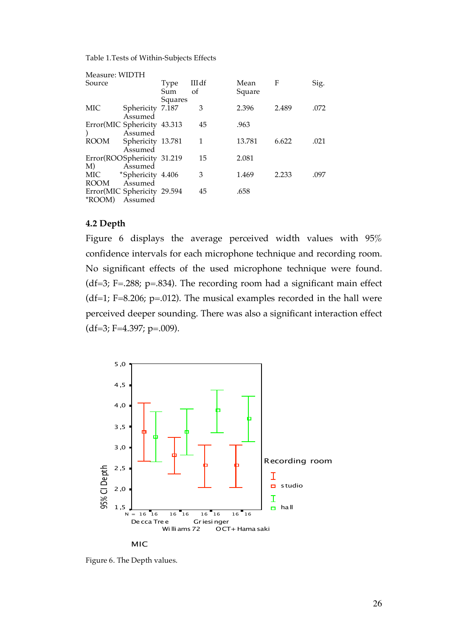Table 1.Tests of Within-Subjects Effects

| Measure: WIDTH |                             |         |       |        |       |      |
|----------------|-----------------------------|---------|-------|--------|-------|------|
| Source         |                             | Type    | IIIdf | Mean   | F     | Sig. |
|                |                             | Sum     | of    | Square |       |      |
| MIC            | Sphericity 7.187            | Squares | 3     | 2.396  | 2.489 | .072 |
|                | Assumed                     |         |       |        |       |      |
|                | Error(MIC Sphericity 43.313 |         | 45    | .963   |       |      |
|                | Assumed                     |         |       |        |       |      |
| ROOM           | Sphericity 13.781           |         | 1     | 13.781 | 6.622 | .021 |
|                | Assumed                     |         |       |        |       |      |
|                | Error(ROOSphericity 31.219  |         | 15    | 2.081  |       |      |
| M)             | Assumed                     |         |       |        |       |      |
| MIC            | *Sphericity 4.406           |         | 3     | 1.469  | 2.233 | .097 |
| ROOM           | Assumed                     |         |       |        |       |      |
|                | Error(MIC Sphericity 29.594 |         | 45    | .658   |       |      |
| *ROOM)         | Assumed                     |         |       |        |       |      |

#### **4.2 Depth**

Figure 6 displays the average perceived width values with 95% confidence intervals for each microphone technique and recording room. No significant effects of the used microphone technique were found. (df=3; F=.288; p=.834). The recording room had a significant main effect (df=1; F=8.206; p=.012). The musical examples recorded in the hall were perceived deeper sounding. There was also a significant interaction effect  $(df=3; F=4.397; p=.009).$ 

![](_page_25_Figure_4.jpeg)

Figure 6. The Depth values.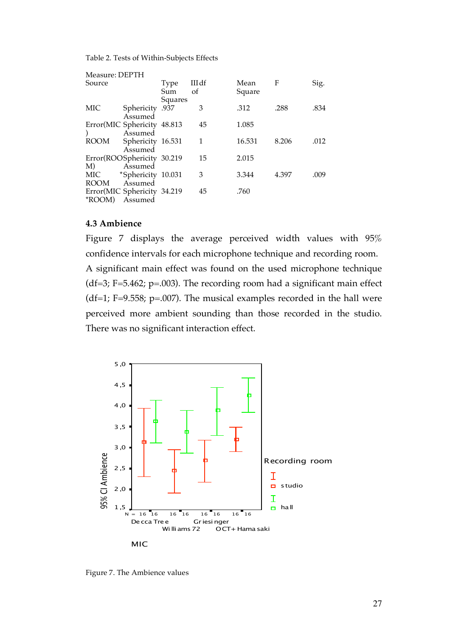Table 2. Tests of Within-Subjects Effects

| Measure: DEPTH |                             |         |       |        |       |      |
|----------------|-----------------------------|---------|-------|--------|-------|------|
| Source         |                             | Type    | IIIdf | Mean   | F     | Sig. |
|                |                             | Sum     | οf    | Square |       |      |
|                |                             | Squares |       |        |       |      |
| MIC            | 937. Sphericity             |         | 3     | .312   | .288  | .834 |
|                | Assumed                     |         |       |        |       |      |
|                | Error(MIC Sphericity 48.813 |         | 45    | 1.085  |       |      |
|                | Assumed                     |         |       |        |       |      |
| <b>ROOM</b>    | Sphericity 16.531           |         | 1     | 16.531 | 8.206 | .012 |
|                | Assumed                     |         |       |        |       |      |
|                | Error(ROOSphericity 30.219  |         | 15    | 2.015  |       |      |
| M)             | Assumed                     |         |       |        |       |      |
| MIC            | *Sphericity 10.031          |         | 3     | 3.344  | 4.397 | .009 |
| ROOM           | Assumed                     |         |       |        |       |      |
|                | Error(MIC Sphericity 34.219 |         | 45    | .760   |       |      |
| *ROOM)         | Assumed                     |         |       |        |       |      |

#### **4.3 Ambience**

Figure 7 displays the average perceived width values with 95% confidence intervals for each microphone technique and recording room. A significant main effect was found on the used microphone technique (df=3; F=5.462; p=.003). The recording room had a significant main effect (df=1; F=9.558; p=.007). The musical examples recorded in the hall were perceived more ambient sounding than those recorded in the studio. There was no significant interaction effect.

![](_page_26_Figure_4.jpeg)

Figure 7. The Ambience values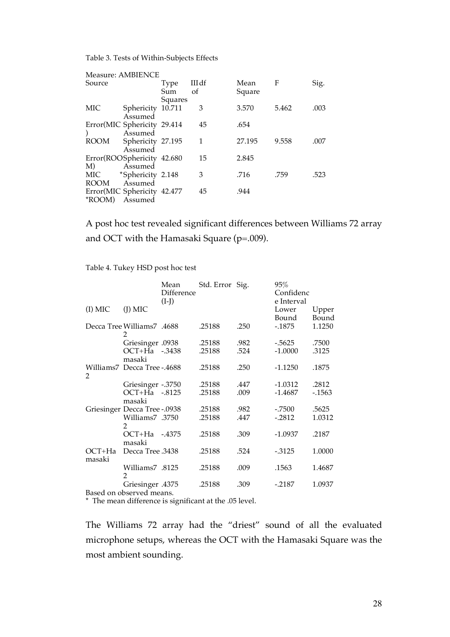Table 3. Tests of Within-Subjects Effects

|             | Measure: AMBIENCE           |         |               |        |       |      |
|-------------|-----------------------------|---------|---------------|--------|-------|------|
| Source      |                             | Type    | IIIdf         | Mean   | F     | Sig. |
|             |                             | Sum     | <sub>of</sub> | Square |       |      |
|             |                             | Squares |               |        |       |      |
| MIC         | Sphericity 10.711           |         | 3             | 3.570  | 5.462 | .003 |
|             | Assumed                     |         |               |        |       |      |
|             | Error(MIC Sphericity 29.414 |         | 45            | .654   |       |      |
|             | Assumed                     |         |               |        |       |      |
| <b>ROOM</b> | Sphericity 27.195           |         | 1             | 27.195 | 9.558 | .007 |
|             | Assumed                     |         |               |        |       |      |
|             | Error(ROOSphericity 42.680  |         | 15            | 2.845  |       |      |
| M)          | Assumed                     |         |               |        |       |      |
| MIC         | *Sphericity 2.148           |         | 3             | .716   | .759  | .523 |
| ROOM        | Assumed                     |         |               |        |       |      |
|             | Error(MIC Sphericity 42.477 |         | 45            | .944   |       |      |
| *ROOM)      | Assumed                     |         |               |        |       |      |

A post hoc test revealed significant differences between Williams 72 array and OCT with the Hamasaki Square (p=.009).

Table 4. Tukey HSD post hoc test

|                                              | Mean<br>Difference<br>$(I-J)$ | Std. Error Sig.  |              | 95%<br>Confidenc<br>e Interval |                  |
|----------------------------------------------|-------------------------------|------------------|--------------|--------------------------------|------------------|
| $(I)$ MIC<br>$(I)$ MIC                       |                               |                  |              | Lower<br>Bound                 | Upper<br>Bound   |
| <b>Decca Tree Williams 7</b> .4688<br>2      |                               | .25188           | .250         | $-1875$                        | 1.1250           |
| Griesinger .0938<br>OCT+Ha -.3438<br>masaki  |                               | .25188<br>.25188 | .982<br>.524 | $-0.5625$<br>$-1.0000$         | .7500<br>.3125   |
| Williams7 Decca Tree -.4688<br>2             |                               | .25188           | .250         | $-1.1250$                      | .1875            |
| Griesinger -.3750<br>OCT+Ha -.8125<br>masaki |                               | .25188<br>.25188 | .447<br>.009 | $-1.0312$<br>$-1.4687$         | .2812<br>$-1563$ |
| Griesinger Decca Tree -.0938                 |                               | .25188           | .982         | $-.7500$                       | .5625            |
| Williams7 .3750<br>2                         |                               | .25188           | .447         | $-2812$                        | 1.0312           |
| OCT+Ha<br>masaki                             | $-4375$                       | .25188           | .309         | $-1.0937$                      | .2187            |
| Decca Tree .3438<br>$OCT+Ha$<br>masaki       |                               | .25188           | .524         | $-0.3125$                      | 1.0000           |
| 8125. Williams7<br>2                         |                               | .25188           | .009         | .1563                          | 1.4687           |
| 4375. Griesinger<br>Based on observed means. |                               | .25188           | .309         | $-.2187$                       | 1.0937           |

\* The mean difference is significant at the .05 level.

The Williams 72 array had the "driest" sound of all the evaluated microphone setups, whereas the OCT with the Hamasaki Square was the most ambient sounding.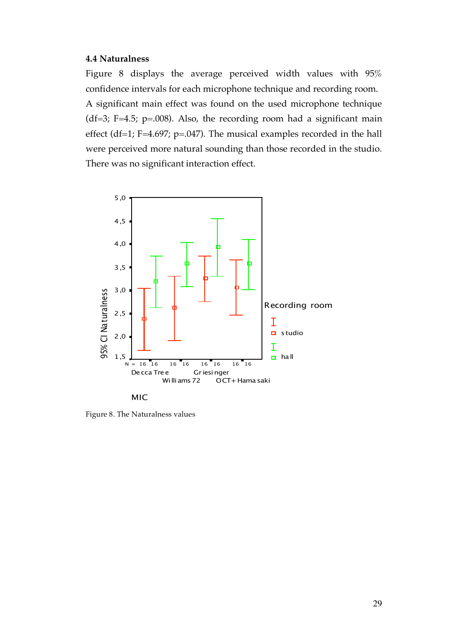#### **4.4 Naturalness**

Figure 8 displays the average perceived width values with 95% confidence intervals for each microphone technique and recording room. A significant main effect was found on the used microphone technique (df=3; F=4.5; p=.008). Also, the recording room had a significant main effect (df=1; F=4.697; p=.047). The musical examples recorded in the hall were perceived more natural sounding than those recorded in the studio. There was no significant interaction effect.

![](_page_28_Figure_2.jpeg)

MIC

Figure 8. The Naturalness values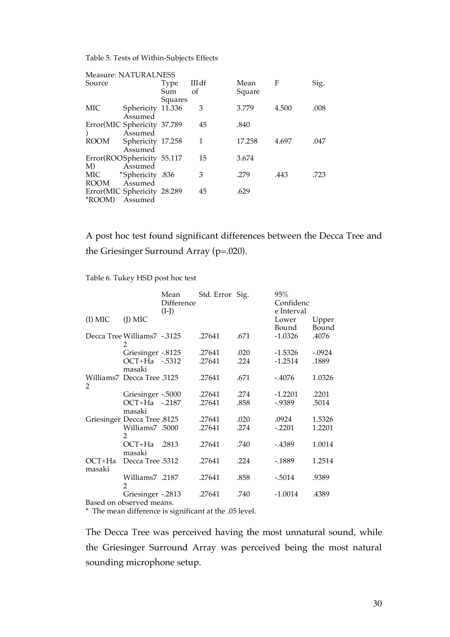Table 5. Tests of Within-Subjects Effects

|             | <b>Measure: NATURALNESS</b> |         |       |        |       |      |
|-------------|-----------------------------|---------|-------|--------|-------|------|
| Source      |                             | Type    | IIIdf | Mean   | F     | Sig. |
|             |                             | Sum     | οf    | Square |       |      |
|             |                             | Squares |       |        |       |      |
| MIC         | Sphericity 11.336           |         | 3     | 3.779  | 4.500 | .008 |
|             | Assumed                     |         |       |        |       |      |
|             | Error(MIC Sphericity 37.789 |         | 45    | .840   |       |      |
|             | Assumed                     |         |       |        |       |      |
| <b>ROOM</b> | Sphericity 17.258           |         | 1     | 17.258 | 4.697 | .047 |
|             | Assumed                     |         |       |        |       |      |
|             | Error(ROOSphericity 55.117  |         | 15    | 3.674  |       |      |
| M)          | Assumed                     |         |       |        |       |      |
| MIC         | *Sphericity .836            |         | 3     | .279   | .443  | .723 |
| ROOM        | Assumed                     |         |       |        |       |      |
|             | Error(MIC Sphericity 28.289 |         | 45    | .629   |       |      |
| *ROOM)      | Assumed                     |         |       |        |       |      |

A post hoc test found significant differences between the Decca Tree and the Griesinger Surround Array (p=.020).

Table 6. Tukey HSD post hoc test

|           |                                   | Mean<br>Difference<br>$(I-J)$ | Std. Error Sig. |      | 95%<br>Confidenc<br>e Interval |                |
|-----------|-----------------------------------|-------------------------------|-----------------|------|--------------------------------|----------------|
| $(I)$ MIC | $(I)$ MIC                         |                               |                 |      | Lower<br>Bound                 | Upper<br>Bound |
|           | Decca Tree Williams7 -.3125<br>2  |                               | .27641          | .671 | $-1.0326$                      | .4076          |
|           | Griesinger -.8125                 |                               | .27641          | .020 | $-1.5326$                      | $-.0924$       |
|           | OCT+Ha -.5312                     |                               | .27641          | .224 | $-1.2514$                      | .1889          |
|           | masaki                            |                               |                 |      |                                |                |
| 2         | Williams7 Decca Tree .3125        |                               | .27641          | .671 | -.4076                         | 1.0326         |
|           | Griesinger -.5000                 |                               | .27641          | .274 | $-1.2201$                      | .2201          |
|           | OCT+Ha -.2187                     |                               | .27641          | .858 | $-0.9389$                      | .5014          |
|           | masaki                            |                               |                 |      |                                |                |
|           | Griesinger Decca Tree .8125       |                               | .27641          | .020 | .0924                          | 1.5326         |
|           | Williams7 .5000<br>2              |                               | .27641          | .274 | $-.2201$                       | 1.2201         |
|           | OCT+Ha                            | .2813                         | .27641          | .740 | -.4389                         | 1.0014         |
|           | masaki                            |                               |                 |      |                                |                |
| OCT+Ha    | Decca Tree .5312                  |                               | .27641          | .224 | -.1889                         | 1.2514         |
| masaki    |                                   |                               |                 |      |                                |                |
|           | Williams7 .2187<br>2              |                               | .27641          | .858 | $-.5014$                       | .9389          |
|           | Griesinger -.2813                 |                               | .27641          | .740 | $-1.0014$                      | .4389          |
|           | Dese des en la bassada de la cons |                               |                 |      |                                |                |

Based on observed means.

\* The mean difference is significant at the .05 level.

The Decca Tree was perceived having the most unnatural sound, while the Griesinger Surround Array was perceived being the most natural sounding microphone setup.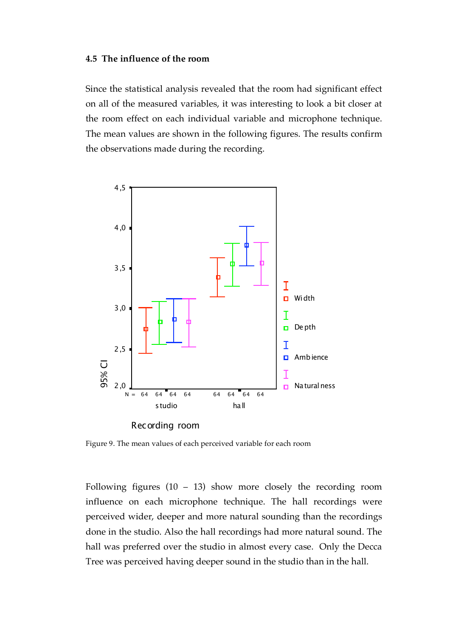#### **4.5 The influence of the room**

Since the statistical analysis revealed that the room had significant effect on all of the measured variables, it was interesting to look a bit closer at the room effect on each individual variable and microphone technique. The mean values are shown in the following figures. The results confirm the observations made during the recording.

![](_page_30_Figure_2.jpeg)

Figure 9. The mean values of each perceived variable for each room

Following figures  $(10 - 13)$  show more closely the recording room influence on each microphone technique. The hall recordings were perceived wider, deeper and more natural sounding than the recordings done in the studio. Also the hall recordings had more natural sound. The hall was preferred over the studio in almost every case. Only the Decca Tree was perceived having deeper sound in the studio than in the hall.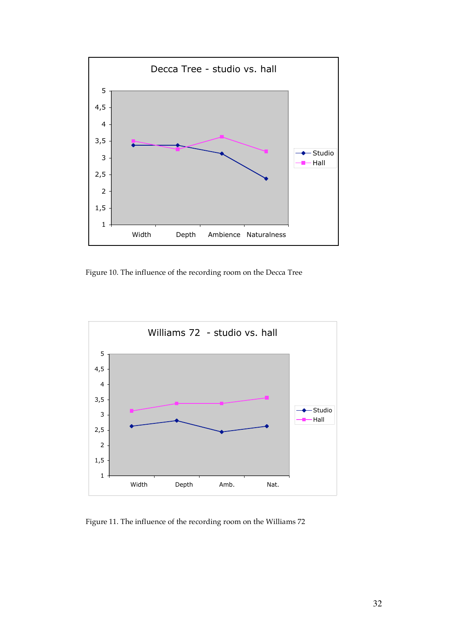![](_page_31_Figure_0.jpeg)

Figure 10. The influence of the recording room on the Decca Tree

![](_page_31_Figure_2.jpeg)

Figure 11. The influence of the recording room on the Williams 72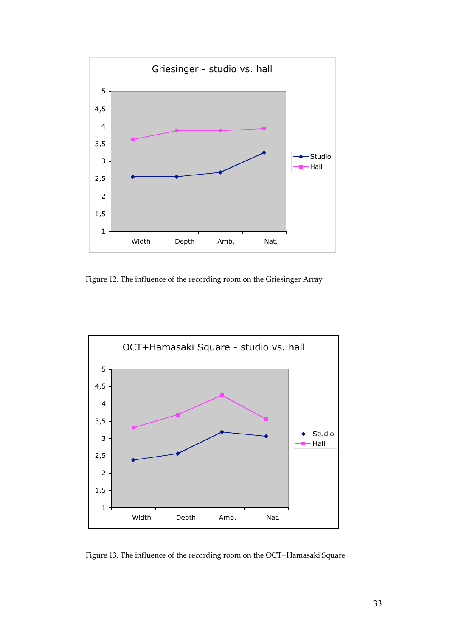![](_page_32_Figure_0.jpeg)

Figure 12. The influence of the recording room on the Griesinger Array

![](_page_32_Figure_2.jpeg)

Figure 13. The influence of the recording room on the OCT+Hamasaki Square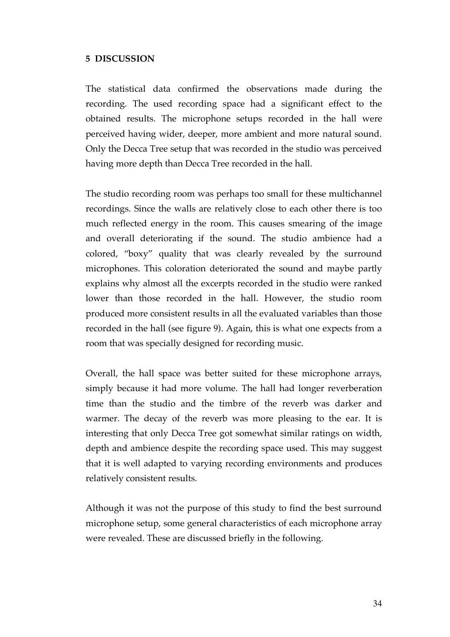## **5 DISCUSSION**

The statistical data confirmed the observations made during the recording. The used recording space had a significant effect to the obtained results. The microphone setups recorded in the hall were perceived having wider, deeper, more ambient and more natural sound. Only the Decca Tree setup that was recorded in the studio was perceived having more depth than Decca Tree recorded in the hall.

The studio recording room was perhaps too small for these multichannel recordings. Since the walls are relatively close to each other there is too much reflected energy in the room. This causes smearing of the image and overall deteriorating if the sound. The studio ambience had a colored, "boxy" quality that was clearly revealed by the surround microphones. This coloration deteriorated the sound and maybe partly explains why almost all the excerpts recorded in the studio were ranked lower than those recorded in the hall. However, the studio room produced more consistent results in all the evaluated variables than those recorded in the hall (see figure 9). Again, this is what one expects from a room that was specially designed for recording music.

Overall, the hall space was better suited for these microphone arrays, simply because it had more volume. The hall had longer reverberation time than the studio and the timbre of the reverb was darker and warmer. The decay of the reverb was more pleasing to the ear. It is interesting that only Decca Tree got somewhat similar ratings on width, depth and ambience despite the recording space used. This may suggest that it is well adapted to varying recording environments and produces relatively consistent results.

Although it was not the purpose of this study to find the best surround microphone setup, some general characteristics of each microphone array were revealed. These are discussed briefly in the following.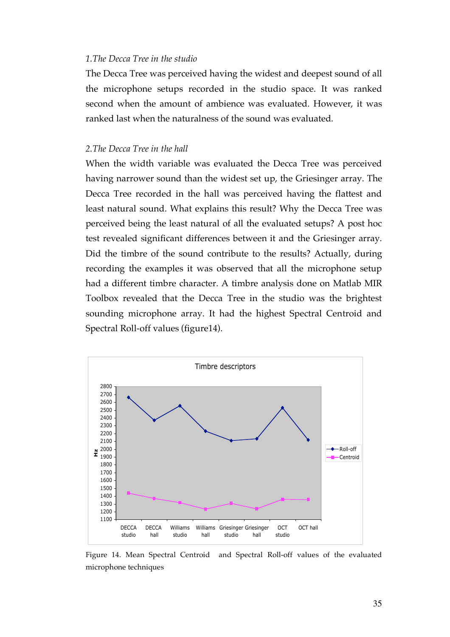#### *1.The Decca Tree in the studio*

The Decca Tree was perceived having the widest and deepest sound of all the microphone setups recorded in the studio space. It was ranked second when the amount of ambience was evaluated. However, it was ranked last when the naturalness of the sound was evaluated.

## *2.The Decca Tree in the hall*

When the width variable was evaluated the Decca Tree was perceived having narrower sound than the widest set up, the Griesinger array. The Decca Tree recorded in the hall was perceived having the flattest and least natural sound. What explains this result? Why the Decca Tree was perceived being the least natural of all the evaluated setups? A post hoc test revealed significant differences between it and the Griesinger array. Did the timbre of the sound contribute to the results? Actually, during recording the examples it was observed that all the microphone setup had a different timbre character. A timbre analysis done on Matlab MIR Toolbox revealed that the Decca Tree in the studio was the brightest sounding microphone array. It had the highest Spectral Centroid and Spectral Roll-off values (figure14).

![](_page_34_Figure_4.jpeg)

Figure 14. Mean Spectral Centroid and Spectral Roll-off values of the evaluated microphone techniques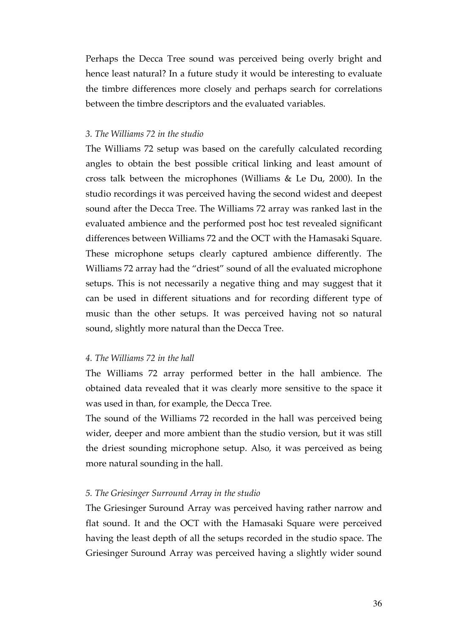Perhaps the Decca Tree sound was perceived being overly bright and hence least natural? In a future study it would be interesting to evaluate the timbre differences more closely and perhaps search for correlations between the timbre descriptors and the evaluated variables.

## *3. The Williams 72 in the studio*

The Williams 72 setup was based on the carefully calculated recording angles to obtain the best possible critical linking and least amount of cross talk between the microphones (Williams & Le Du, 2000). In the studio recordings it was perceived having the second widest and deepest sound after the Decca Tree. The Williams 72 array was ranked last in the evaluated ambience and the performed post hoc test revealed significant differences between Williams 72 and the OCT with the Hamasaki Square. These microphone setups clearly captured ambience differently. The Williams 72 array had the "driest" sound of all the evaluated microphone setups. This is not necessarily a negative thing and may suggest that it can be used in different situations and for recording different type of music than the other setups. It was perceived having not so natural sound, slightly more natural than the Decca Tree.

## *4. The Williams 72 in the hall*

The Williams 72 array performed better in the hall ambience. The obtained data revealed that it was clearly more sensitive to the space it was used in than, for example, the Decca Tree.

The sound of the Williams 72 recorded in the hall was perceived being wider, deeper and more ambient than the studio version, but it was still the driest sounding microphone setup. Also, it was perceived as being more natural sounding in the hall.

## *5. The Griesinger Surround Array in the studio*

The Griesinger Suround Array was perceived having rather narrow and flat sound. It and the OCT with the Hamasaki Square were perceived having the least depth of all the setups recorded in the studio space. The Griesinger Suround Array was perceived having a slightly wider sound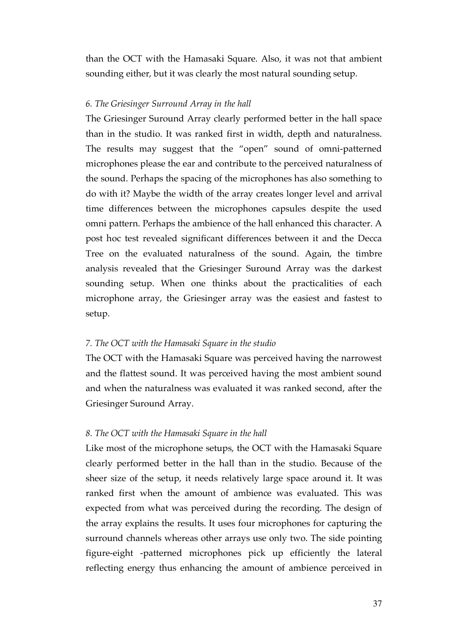than the OCT with the Hamasaki Square. Also, it was not that ambient sounding either, but it was clearly the most natural sounding setup.

## *6. The Griesinger Surround Array in the hall*

The Griesinger Suround Array clearly performed better in the hall space than in the studio. It was ranked first in width, depth and naturalness. The results may suggest that the "open" sound of omni-patterned microphones please the ear and contribute to the perceived naturalness of the sound. Perhaps the spacing of the microphones has also something to do with it? Maybe the width of the array creates longer level and arrival time differences between the microphones capsules despite the used omni pattern. Perhaps the ambience of the hall enhanced this character. A post hoc test revealed significant differences between it and the Decca Tree on the evaluated naturalness of the sound. Again, the timbre analysis revealed that the Griesinger Suround Array was the darkest sounding setup. When one thinks about the practicalities of each microphone array, the Griesinger array was the easiest and fastest to setup.

## *7. The OCT with the Hamasaki Square in the studio*

The OCT with the Hamasaki Square was perceived having the narrowest and the flattest sound. It was perceived having the most ambient sound and when the naturalness was evaluated it was ranked second, after the Griesinger Suround Array.

## *8. The OCT with the Hamasaki Square in the hall*

Like most of the microphone setups, the OCT with the Hamasaki Square clearly performed better in the hall than in the studio. Because of the sheer size of the setup, it needs relatively large space around it. It was ranked first when the amount of ambience was evaluated. This was expected from what was perceived during the recording. The design of the array explains the results. It uses four microphones for capturing the surround channels whereas other arrays use only two. The side pointing figure-eight -patterned microphones pick up efficiently the lateral reflecting energy thus enhancing the amount of ambience perceived in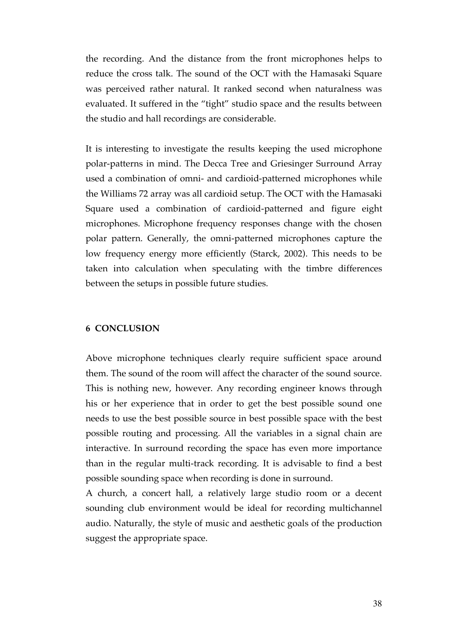the recording. And the distance from the front microphones helps to reduce the cross talk. The sound of the OCT with the Hamasaki Square was perceived rather natural. It ranked second when naturalness was evaluated. It suffered in the "tight" studio space and the results between the studio and hall recordings are considerable.

It is interesting to investigate the results keeping the used microphone polar-patterns in mind. The Decca Tree and Griesinger Surround Array used a combination of omni- and cardioid-patterned microphones while the Williams 72 array was all cardioid setup. The OCT with the Hamasaki Square used a combination of cardioid-patterned and figure eight microphones. Microphone frequency responses change with the chosen polar pattern. Generally, the omni-patterned microphones capture the low frequency energy more efficiently (Starck, 2002). This needs to be taken into calculation when speculating with the timbre differences between the setups in possible future studies.

## **6 CONCLUSION**

Above microphone techniques clearly require sufficient space around them. The sound of the room will affect the character of the sound source. This is nothing new, however. Any recording engineer knows through his or her experience that in order to get the best possible sound one needs to use the best possible source in best possible space with the best possible routing and processing. All the variables in a signal chain are interactive. In surround recording the space has even more importance than in the regular multi-track recording. It is advisable to find a best possible sounding space when recording is done in surround.

A church, a concert hall, a relatively large studio room or a decent sounding club environment would be ideal for recording multichannel audio. Naturally, the style of music and aesthetic goals of the production suggest the appropriate space.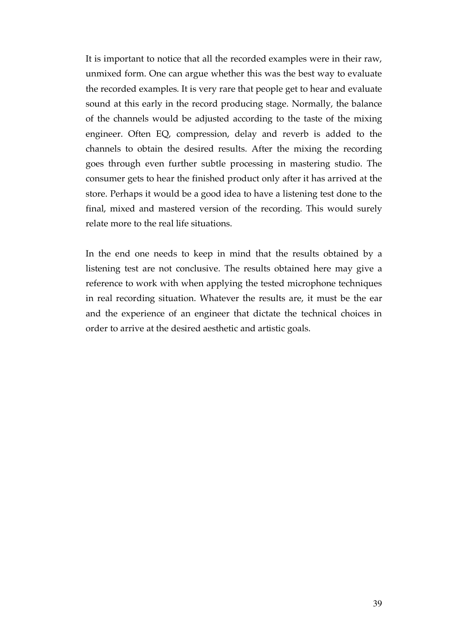It is important to notice that all the recorded examples were in their raw, unmixed form. One can argue whether this was the best way to evaluate the recorded examples. It is very rare that people get to hear and evaluate sound at this early in the record producing stage. Normally, the balance of the channels would be adjusted according to the taste of the mixing engineer. Often EQ, compression, delay and reverb is added to the channels to obtain the desired results. After the mixing the recording goes through even further subtle processing in mastering studio. The consumer gets to hear the finished product only after it has arrived at the store. Perhaps it would be a good idea to have a listening test done to the final, mixed and mastered version of the recording. This would surely relate more to the real life situations.

In the end one needs to keep in mind that the results obtained by a listening test are not conclusive. The results obtained here may give a reference to work with when applying the tested microphone techniques in real recording situation. Whatever the results are, it must be the ear and the experience of an engineer that dictate the technical choices in order to arrive at the desired aesthetic and artistic goals.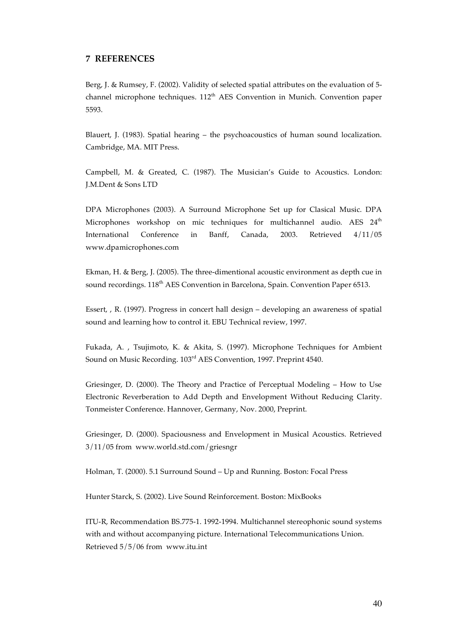#### **7 REFERENCES**

Berg, J. & Rumsey, F. (2002). Validity of selected spatial attributes on the evaluation of 5 channel microphone techniques. 112<sup>th</sup> AES Convention in Munich. Convention paper 5593.

Blauert, J. (1983). Spatial hearing – the psychoacoustics of human sound localization. Cambridge, MA. MIT Press.

Campbell, M. & Greated, C. (1987). The Musician's Guide to Acoustics. London: J.M.Dent & Sons LTD

DPA Microphones (2003). A Surround Microphone Set up for Clasical Music. DPA Microphones workshop on mic techniques for multichannel audio. AES  $24<sup>th</sup>$ International Conference in Banff, Canada, 2003. Retrieved 4/11/05 www.dpamicrophones.com

Ekman, H. & Berg, J. (2005). The three-dimentional acoustic environment as depth cue in sound recordings. 118<sup>th</sup> AES Convention in Barcelona, Spain. Convention Paper 6513.

Essert, , R. (1997). Progress in concert hall design – developing an awareness of spatial sound and learning how to control it. EBU Technical review, 1997.

Fukada, A. , Tsujimoto, K. & Akita, S. (1997). Microphone Techniques for Ambient Sound on Music Recording. 103rd AES Convention, 1997. Preprint 4540.

Griesinger, D. (2000). The Theory and Practice of Perceptual Modeling – How to Use Electronic Reverberation to Add Depth and Envelopment Without Reducing Clarity. Tonmeister Conference. Hannover, Germany, Nov. 2000, Preprint.

Griesinger, D. (2000). Spaciousness and Envelopment in Musical Acoustics. Retrieved 3/11/05 from www.world.std.com/griesngr

Holman, T. (2000). 5.1 Surround Sound – Up and Running. Boston: Focal Press

Hunter Starck, S. (2002). Live Sound Reinforcement. Boston: MixBooks

ITU-R, Recommendation BS.775-1. 1992-1994. Multichannel stereophonic sound systems with and without accompanying picture. International Telecommunications Union. Retrieved 5/5/06 from www.itu.int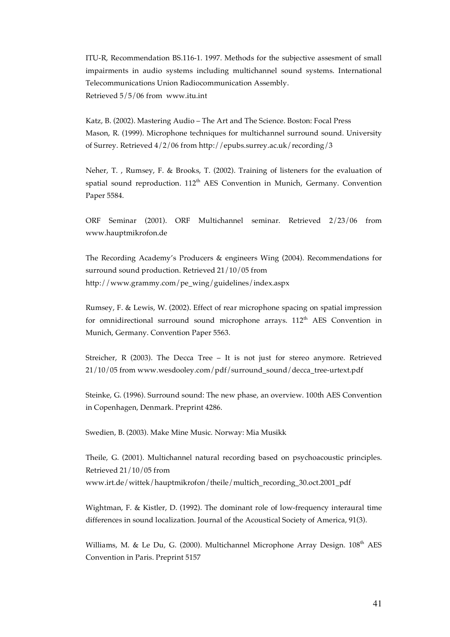ITU-R, Recommendation BS.116-1. 1997. Methods for the subjective assesment of small impairments in audio systems including multichannel sound systems. International Telecommunications Union Radiocommunication Assembly. Retrieved 5/5/06 from www.itu.int

Katz, B. (2002). Mastering Audio – The Art and The Science. Boston: Focal Press Mason, R. (1999). Microphone techniques for multichannel surround sound. University of Surrey. Retrieved 4/2/06 from http://epubs.surrey.ac.uk/recording/3

Neher, T. , Rumsey, F. & Brooks, T. (2002). Training of listeners for the evaluation of spatial sound reproduction. 112<sup>th</sup> AES Convention in Munich, Germany. Convention Paper 5584.

ORF Seminar (2001). ORF Multichannel seminar. Retrieved 2/23/06 from www.hauptmikrofon.de

The Recording Academy's Producers & engineers Wing (2004). Recommendations for surround sound production. Retrieved 21/10/05 from http://www.grammy.com/pe\_wing/guidelines/index.aspx

Rumsey, F. & Lewis, W. (2002). Effect of rear microphone spacing on spatial impression for omnidirectional surround sound microphone arrays.  $112<sup>th</sup>$  AES Convention in Munich, Germany. Convention Paper 5563.

Streicher, R (2003). The Decca Tree – It is not just for stereo anymore. Retrieved 21/10/05 from www.wesdooley.com/pdf/surround\_sound/decca\_tree-urtext.pdf

Steinke, G. (1996). Surround sound: The new phase, an overview. 100th AES Convention in Copenhagen, Denmark. Preprint 4286.

Swedien, B. (2003). Make Mine Music. Norway: Mia Musikk

Theile, G. (2001). Multichannel natural recording based on psychoacoustic principles. Retrieved 21/10/05 from www.irt.de/wittek/hauptmikrofon/theile/multich\_recording\_30.oct.2001\_pdf

Wightman, F. & Kistler, D. (1992). The dominant role of low-frequency interaural time differences in sound localization. Journal of the Acoustical Society of America, 91(3).

Williams, M. & Le Du, G. (2000). Multichannel Microphone Array Design. 108<sup>th</sup> AES Convention in Paris. Preprint 5157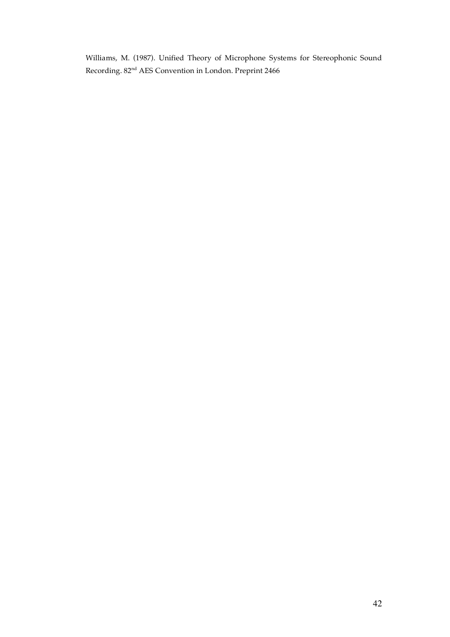Williams, M. (1987). Unified Theory of Microphone Systems for Stereophonic Sound Recording. 82nd AES Convention in London. Preprint 2466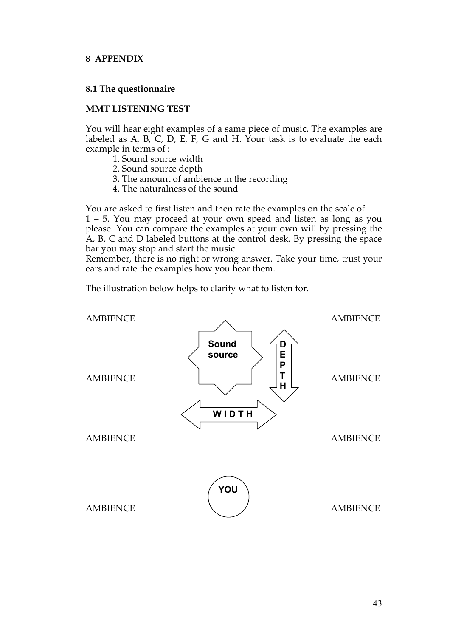## **8 APPENDIX**

## **8.1 The questionnaire**

## **MMT LISTENING TEST**

You will hear eight examples of a same piece of music. The examples are labeled as A, B, C, D, E, F, G and H. Your task is to evaluate the each example in terms of :

- 1. Sound source width
- 2. Sound source depth
- 3. The amount of ambience in the recording
- 4. The naturalness of the sound

You are asked to first listen and then rate the examples on the scale of 1 – 5. You may proceed at your own speed and listen as long as you please. You can compare the examples at your own will by pressing the A, B, C and D labeled buttons at the control desk. By pressing the space bar you may stop and start the music.

Remember, there is no right or wrong answer. Take your time, trust your ears and rate the examples how you hear them.

The illustration below helps to clarify what to listen for.

![](_page_42_Figure_11.jpeg)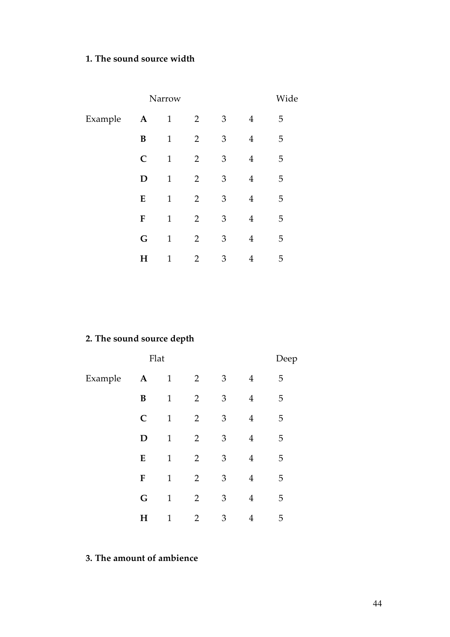## **1. The sound source width**

|         | Wide        |              |                |                |                |   |  |
|---------|-------------|--------------|----------------|----------------|----------------|---|--|
| Example | $\mathbf A$ | $\mathbf{1}$ | $\overline{2}$ | 3              | $\overline{4}$ | 5 |  |
|         | B           | $\mathbf{1}$ | $\overline{2}$ | $\mathfrak{Z}$ | $\overline{4}$ | 5 |  |
|         | $\mathbf C$ | $\mathbf{1}$ | $\overline{2}$ | 3              | 4              | 5 |  |
|         | D           | $\mathbf{1}$ | $\overline{2}$ | 3              | 4              | 5 |  |
|         | E           | $\mathbf{1}$ | $\overline{2}$ | 3              | 4              | 5 |  |
|         | $\mathbf F$ | $\mathbf{1}$ | $\overline{2}$ | 3              | 4              | 5 |  |
|         | G           | $\mathbf{1}$ | $\overline{2}$ | 3              | 4              | 5 |  |
|         | H           | 1            | $\overline{2}$ | 3              | 4              | 5 |  |

# **2. The sound source depth**

|         |             | Flat         |                |                |                | Deep |  |
|---------|-------------|--------------|----------------|----------------|----------------|------|--|
| Example | $\mathbf A$ | $\mathbf{1}$ | $\overline{2}$ | $\mathfrak{Z}$ | $\overline{4}$ | 5    |  |
|         | B           | $\mathbf{1}$ | $\overline{2}$ | $\mathfrak{Z}$ | 4              | 5    |  |
|         | $\mathbf C$ | $\mathbf{1}$ | $\overline{2}$ | 3              | $\overline{4}$ | 5    |  |
|         | D           | $\mathbf{1}$ | $\overline{2}$ | 3              | 4              | 5    |  |
|         | E           | $\mathbf{1}$ | $\overline{2}$ | 3              | 4              | 5    |  |
|         | F           | $\mathbf{1}$ | $\overline{2}$ | 3              | 4              | 5    |  |
|         | $\mathbf G$ | $\mathbf{1}$ | $\overline{2}$ | 3              | 4              | 5    |  |
|         | $\mathbf H$ | 1            | $\overline{2}$ | 3              | 4              | 5    |  |

# **3. The amount of ambience**